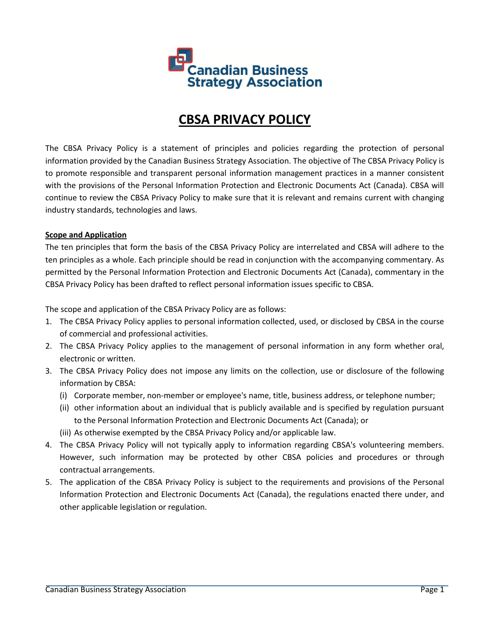

# **CBSA PRIVACY POLICY**

The CBSA Privacy Policy is a statement of principles and policies regarding the protection of personal information provided by the Canadian Business Strategy Association. The objective of The CBSA Privacy Policy is to promote responsible and transparent personal information management practices in a manner consistent with the provisions of the Personal Information Protection and Electronic Documents Act (Canada). CBSA will continue to review the CBSA Privacy Policy to make sure that it is relevant and remains current with changing industry standards, technologies and laws.

## **Scope and Application**

The ten principles that form the basis of the CBSA Privacy Policy are interrelated and CBSA will adhere to the ten principles as a whole. Each principle should be read in conjunction with the accompanying commentary. As permitted by the Personal Information Protection and Electronic Documents Act (Canada), commentary in the CBSA Privacy Policy has been drafted to reflect personal information issues specific to CBSA.

The scope and application of the CBSA Privacy Policy are as follows:

- 1. The CBSA Privacy Policy applies to personal information collected, used, or disclosed by CBSA in the course of commercial and professional activities.
- 2. The CBSA Privacy Policy applies to the management of personal information in any form whether oral, electronic or written.
- 3. The CBSA Privacy Policy does not impose any limits on the collection, use or disclosure of the following information by CBSA:
	- (i) Corporate member, non-member or employee's name, title, business address, or telephone number;
	- (ii) other information about an individual that is publicly available and is specified by regulation pursuant to the Personal Information Protection and Electronic Documents Act (Canada); or
	- (iii) As otherwise exempted by the CBSA Privacy Policy and/or applicable law.
- 4. The CBSA Privacy Policy will not typically apply to information regarding CBSA's volunteering members. However, such information may be protected by other CBSA policies and procedures or through contractual arrangements.
- 5. The application of the CBSA Privacy Policy is subject to the requirements and provisions of the Personal Information Protection and Electronic Documents Act (Canada), the regulations enacted there under, and other applicable legislation or regulation.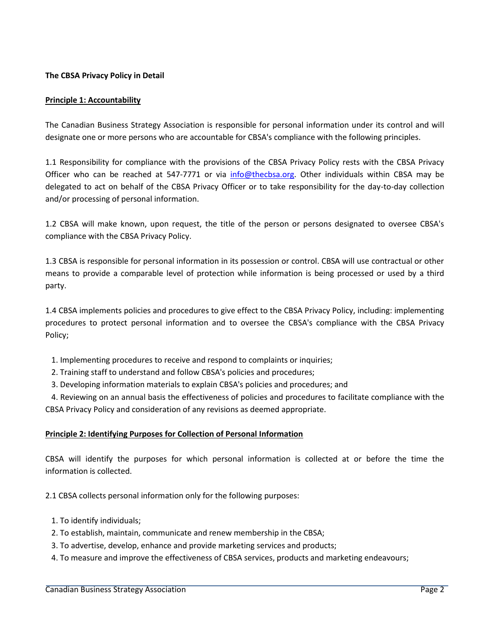# **The CBSA Privacy Policy in Detail**

## **Principle 1: Accountability**

The Canadian Business Strategy Association is responsible for personal information under its control and will designate one or more persons who are accountable for CBSA's compliance with the following principles.

1.1 Responsibility for compliance with the provisions of the CBSA Privacy Policy rests with the CBSA Privacy Officer who can be reached at 547-7771 or via [info@thecbsa.org.](mailto:info@thecbsa.org) Other individuals within CBSA may be delegated to act on behalf of the CBSA Privacy Officer or to take responsibility for the day-to-day collection and/or processing of personal information.

1.2 CBSA will make known, upon request, the title of the person or persons designated to oversee CBSA's compliance with the CBSA Privacy Policy.

1.3 CBSA is responsible for personal information in its possession or control. CBSA will use contractual or other means to provide a comparable level of protection while information is being processed or used by a third party.

1.4 CBSA implements policies and procedures to give effect to the CBSA Privacy Policy, including: implementing procedures to protect personal information and to oversee the CBSA's compliance with the CBSA Privacy Policy;

- 1. Implementing procedures to receive and respond to complaints or inquiries;
- 2. Training staff to understand and follow CBSA's policies and procedures;
- 3. Developing information materials to explain CBSA's policies and procedures; and

 4. Reviewing on an annual basis the effectiveness of policies and procedures to facilitate compliance with the CBSA Privacy Policy and consideration of any revisions as deemed appropriate.

# **Principle 2: Identifying Purposes for Collection of Personal Information**

CBSA will identify the purposes for which personal information is collected at or before the time the information is collected.

2.1 CBSA collects personal information only for the following purposes:

- 1. To identify individuals;
- 2. To establish, maintain, communicate and renew membership in the CBSA;
- 3. To advertise, develop, enhance and provide marketing services and products;
- 4. To measure and improve the effectiveness of CBSA services, products and marketing endeavours;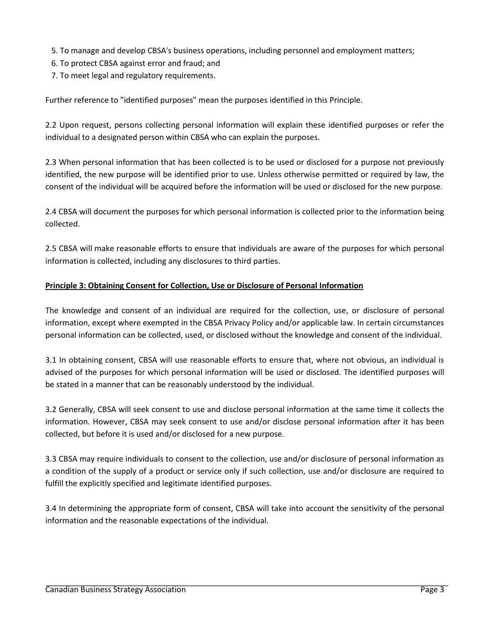- 5. To manage and develop CBSA's business operations, including personnel and employment matters;
- 6. To protect CBSA against error and fraud; and
- 7. To meet legal and regulatory requirements.

Further reference to "identified purposes" mean the purposes identified in this Principle.

2.2 Upon request, persons collecting personal information will explain these identified purposes or refer the individual to a designated person within CBSA who can explain the purposes.

2.3 When personal information that has been collected is to be used or disclosed for a purpose not previously identified, the new purpose will be identified prior to use. Unless otherwise permitted or required by law, the consent of the individual will be acquired before the information will be used or disclosed for the new purpose.

2.4 CBSA will document the purposes for which personal information is collected prior to the information being collected.

2.5 CBSA will make reasonable efforts to ensure that individuals are aware of the purposes for which personal information is collected, including any disclosures to third parties.

# **Principle 3: Obtaining Consent for Collection, Use or Disclosure of Personal Information**

The knowledge and consent of an individual are required for the collection, use, or disclosure of personal information, except where exempted in the CBSA Privacy Policy and/or applicable law. In certain circumstances personal information can be collected, used, or disclosed without the knowledge and consent of the individual.

3.1 In obtaining consent, CBSA will use reasonable efforts to ensure that, where not obvious, an individual is advised of the purposes for which personal information will be used or disclosed. The identified purposes will be stated in a manner that can be reasonably understood by the individual.

3.2 Generally, CBSA will seek consent to use and disclose personal information at the same time it collects the information. However, CBSA may seek consent to use and/or disclose personal information after it has been collected, but before it is used and/or disclosed for a new purpose.

3.3 CBSA may require individuals to consent to the collection, use and/or disclosure of personal information as a condition of the supply of a product or service only if such collection, use and/or disclosure are required to fulfill the explicitly specified and legitimate identified purposes.

3.4 In determining the appropriate form of consent, CBSA will take into account the sensitivity of the personal information and the reasonable expectations of the individual.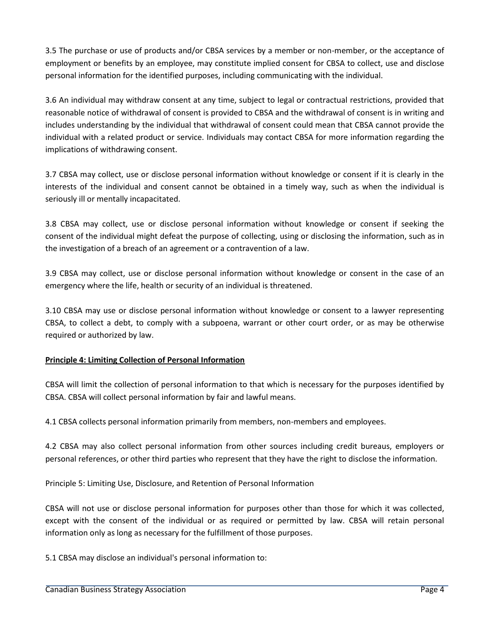3.5 The purchase or use of products and/or CBSA services by a member or non-member, or the acceptance of employment or benefits by an employee, may constitute implied consent for CBSA to collect, use and disclose personal information for the identified purposes, including communicating with the individual.

3.6 An individual may withdraw consent at any time, subject to legal or contractual restrictions, provided that reasonable notice of withdrawal of consent is provided to CBSA and the withdrawal of consent is in writing and includes understanding by the individual that withdrawal of consent could mean that CBSA cannot provide the individual with a related product or service. Individuals may contact CBSA for more information regarding the implications of withdrawing consent.

3.7 CBSA may collect, use or disclose personal information without knowledge or consent if it is clearly in the interests of the individual and consent cannot be obtained in a timely way, such as when the individual is seriously ill or mentally incapacitated.

3.8 CBSA may collect, use or disclose personal information without knowledge or consent if seeking the consent of the individual might defeat the purpose of collecting, using or disclosing the information, such as in the investigation of a breach of an agreement or a contravention of a law.

3.9 CBSA may collect, use or disclose personal information without knowledge or consent in the case of an emergency where the life, health or security of an individual is threatened.

3.10 CBSA may use or disclose personal information without knowledge or consent to a lawyer representing CBSA, to collect a debt, to comply with a subpoena, warrant or other court order, or as may be otherwise required or authorized by law.

# **Principle 4: Limiting Collection of Personal Information**

CBSA will limit the collection of personal information to that which is necessary for the purposes identified by CBSA. CBSA will collect personal information by fair and lawful means.

4.1 CBSA collects personal information primarily from members, non-members and employees.

4.2 CBSA may also collect personal information from other sources including credit bureaus, employers or personal references, or other third parties who represent that they have the right to disclose the information.

Principle 5: Limiting Use, Disclosure, and Retention of Personal Information

CBSA will not use or disclose personal information for purposes other than those for which it was collected, except with the consent of the individual or as required or permitted by law. CBSA will retain personal information only as long as necessary for the fulfillment of those purposes.

5.1 CBSA may disclose an individual's personal information to: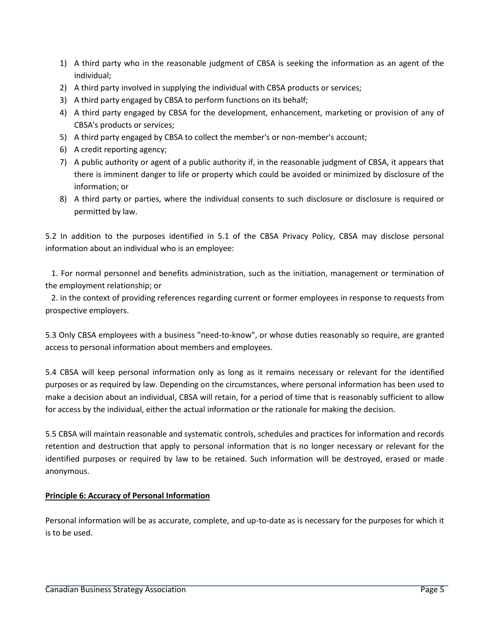- 1) A third party who in the reasonable judgment of CBSA is seeking the information as an agent of the individual;
- 2) A third party involved in supplying the individual with CBSA products or services;
- 3) A third party engaged by CBSA to perform functions on its behalf;
- 4) A third party engaged by CBSA for the development, enhancement, marketing or provision of any of CBSA's products or services;
- 5) A third party engaged by CBSA to collect the member's or non-member's account;
- 6) A credit reporting agency;
- 7) A public authority or agent of a public authority if, in the reasonable judgment of CBSA, it appears that there is imminent danger to life or property which could be avoided or minimized by disclosure of the information; or
- 8) A third party or parties, where the individual consents to such disclosure or disclosure is required or permitted by law.

5.2 In addition to the purposes identified in 5.1 of the CBSA Privacy Policy, CBSA may disclose personal information about an individual who is an employee:

 1. For normal personnel and benefits administration, such as the initiation, management or termination of the employment relationship; or

 2. in the context of providing references regarding current or former employees in response to requests from prospective employers.

5.3 Only CBSA employees with a business "need-to-know", or whose duties reasonably so require, are granted access to personal information about members and employees.

5.4 CBSA will keep personal information only as long as it remains necessary or relevant for the identified purposes or as required by law. Depending on the circumstances, where personal information has been used to make a decision about an individual, CBSA will retain, for a period of time that is reasonably sufficient to allow for access by the individual, either the actual information or the rationale for making the decision.

5.5 CBSA will maintain reasonable and systematic controls, schedules and practices for information and records retention and destruction that apply to personal information that is no longer necessary or relevant for the identified purposes or required by law to be retained. Such information will be destroyed, erased or made anonymous.

# **Principle 6: Accuracy of Personal Information**

Personal information will be as accurate, complete, and up-to-date as is necessary for the purposes for which it is to be used.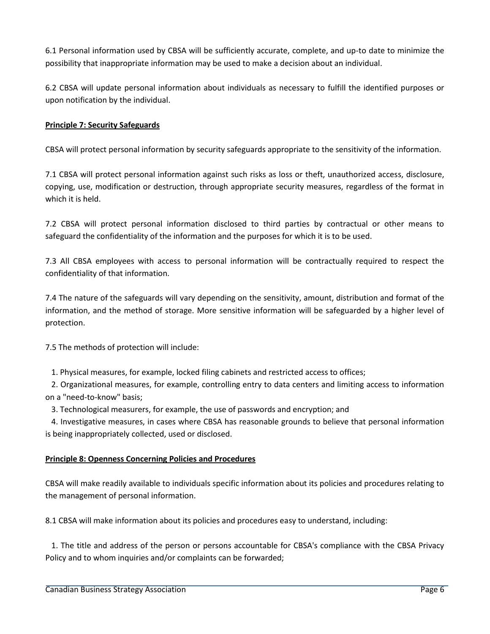6.1 Personal information used by CBSA will be sufficiently accurate, complete, and up-to date to minimize the possibility that inappropriate information may be used to make a decision about an individual.

6.2 CBSA will update personal information about individuals as necessary to fulfill the identified purposes or upon notification by the individual.

# **Principle 7: Security Safeguards**

CBSA will protect personal information by security safeguards appropriate to the sensitivity of the information.

7.1 CBSA will protect personal information against such risks as loss or theft, unauthorized access, disclosure, copying, use, modification or destruction, through appropriate security measures, regardless of the format in which it is held.

7.2 CBSA will protect personal information disclosed to third parties by contractual or other means to safeguard the confidentiality of the information and the purposes for which it is to be used.

7.3 All CBSA employees with access to personal information will be contractually required to respect the confidentiality of that information.

7.4 The nature of the safeguards will vary depending on the sensitivity, amount, distribution and format of the information, and the method of storage. More sensitive information will be safeguarded by a higher level of protection.

7.5 The methods of protection will include:

1. Physical measures, for example, locked filing cabinets and restricted access to offices;

 2. Organizational measures, for example, controlling entry to data centers and limiting access to information on a "need-to-know" basis;

3. Technological measurers, for example, the use of passwords and encryption; and

 4. Investigative measures, in cases where CBSA has reasonable grounds to believe that personal information is being inappropriately collected, used or disclosed.

## **Principle 8: Openness Concerning Policies and Procedures**

CBSA will make readily available to individuals specific information about its policies and procedures relating to the management of personal information.

8.1 CBSA will make information about its policies and procedures easy to understand, including:

 1. The title and address of the person or persons accountable for CBSA's compliance with the CBSA Privacy Policy and to whom inquiries and/or complaints can be forwarded;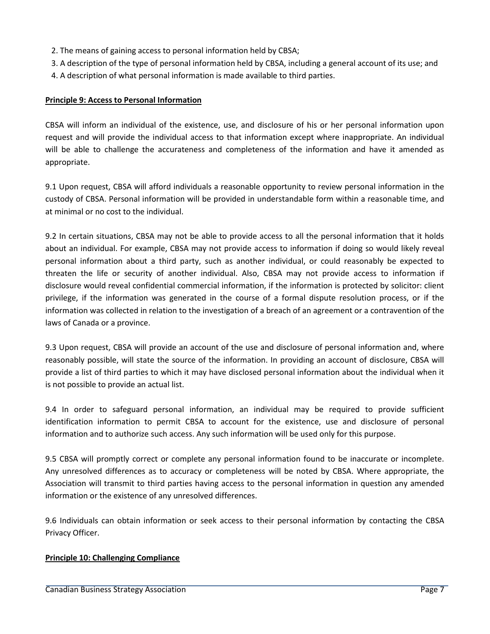- 2. The means of gaining access to personal information held by CBSA;
- 3. A description of the type of personal information held by CBSA, including a general account of its use; and
- 4. A description of what personal information is made available to third parties.

# **Principle 9: Access to Personal Information**

CBSA will inform an individual of the existence, use, and disclosure of his or her personal information upon request and will provide the individual access to that information except where inappropriate. An individual will be able to challenge the accurateness and completeness of the information and have it amended as appropriate.

9.1 Upon request, CBSA will afford individuals a reasonable opportunity to review personal information in the custody of CBSA. Personal information will be provided in understandable form within a reasonable time, and at minimal or no cost to the individual.

9.2 In certain situations, CBSA may not be able to provide access to all the personal information that it holds about an individual. For example, CBSA may not provide access to information if doing so would likely reveal personal information about a third party, such as another individual, or could reasonably be expected to threaten the life or security of another individual. Also, CBSA may not provide access to information if disclosure would reveal confidential commercial information, if the information is protected by solicitor: client privilege, if the information was generated in the course of a formal dispute resolution process, or if the information was collected in relation to the investigation of a breach of an agreement or a contravention of the laws of Canada or a province.

9.3 Upon request, CBSA will provide an account of the use and disclosure of personal information and, where reasonably possible, will state the source of the information. In providing an account of disclosure, CBSA will provide a list of third parties to which it may have disclosed personal information about the individual when it is not possible to provide an actual list.

9.4 In order to safeguard personal information, an individual may be required to provide sufficient identification information to permit CBSA to account for the existence, use and disclosure of personal information and to authorize such access. Any such information will be used only for this purpose.

9.5 CBSA will promptly correct or complete any personal information found to be inaccurate or incomplete. Any unresolved differences as to accuracy or completeness will be noted by CBSA. Where appropriate, the Association will transmit to third parties having access to the personal information in question any amended information or the existence of any unresolved differences.

9.6 Individuals can obtain information or seek access to their personal information by contacting the CBSA Privacy Officer.

# **Principle 10: Challenging Compliance**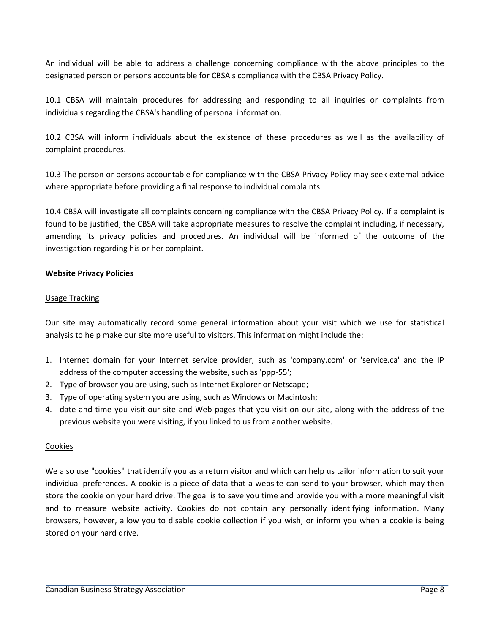An individual will be able to address a challenge concerning compliance with the above principles to the designated person or persons accountable for CBSA's compliance with the CBSA Privacy Policy.

10.1 CBSA will maintain procedures for addressing and responding to all inquiries or complaints from individuals regarding the CBSA's handling of personal information.

10.2 CBSA will inform individuals about the existence of these procedures as well as the availability of complaint procedures.

10.3 The person or persons accountable for compliance with the CBSA Privacy Policy may seek external advice where appropriate before providing a final response to individual complaints.

10.4 CBSA will investigate all complaints concerning compliance with the CBSA Privacy Policy. If a complaint is found to be justified, the CBSA will take appropriate measures to resolve the complaint including, if necessary, amending its privacy policies and procedures. An individual will be informed of the outcome of the investigation regarding his or her complaint.

# **Website Privacy Policies**

## Usage Tracking

Our site may automatically record some general information about your visit which we use for statistical analysis to help make our site more useful to visitors. This information might include the:

- 1. Internet domain for your Internet service provider, such as 'company.com' or 'service.ca' and the IP address of the computer accessing the website, such as 'ppp-55';
- 2. Type of browser you are using, such as Internet Explorer or Netscape;
- 3. Type of operating system you are using, such as Windows or Macintosh;
- 4. date and time you visit our site and Web pages that you visit on our site, along with the address of the previous website you were visiting, if you linked to us from another website.

## Cookies

We also use "cookies" that identify you as a return visitor and which can help us tailor information to suit your individual preferences. A cookie is a piece of data that a website can send to your browser, which may then store the cookie on your hard drive. The goal is to save you time and provide you with a more meaningful visit and to measure website activity. Cookies do not contain any personally identifying information. Many browsers, however, allow you to disable cookie collection if you wish, or inform you when a cookie is being stored on your hard drive.